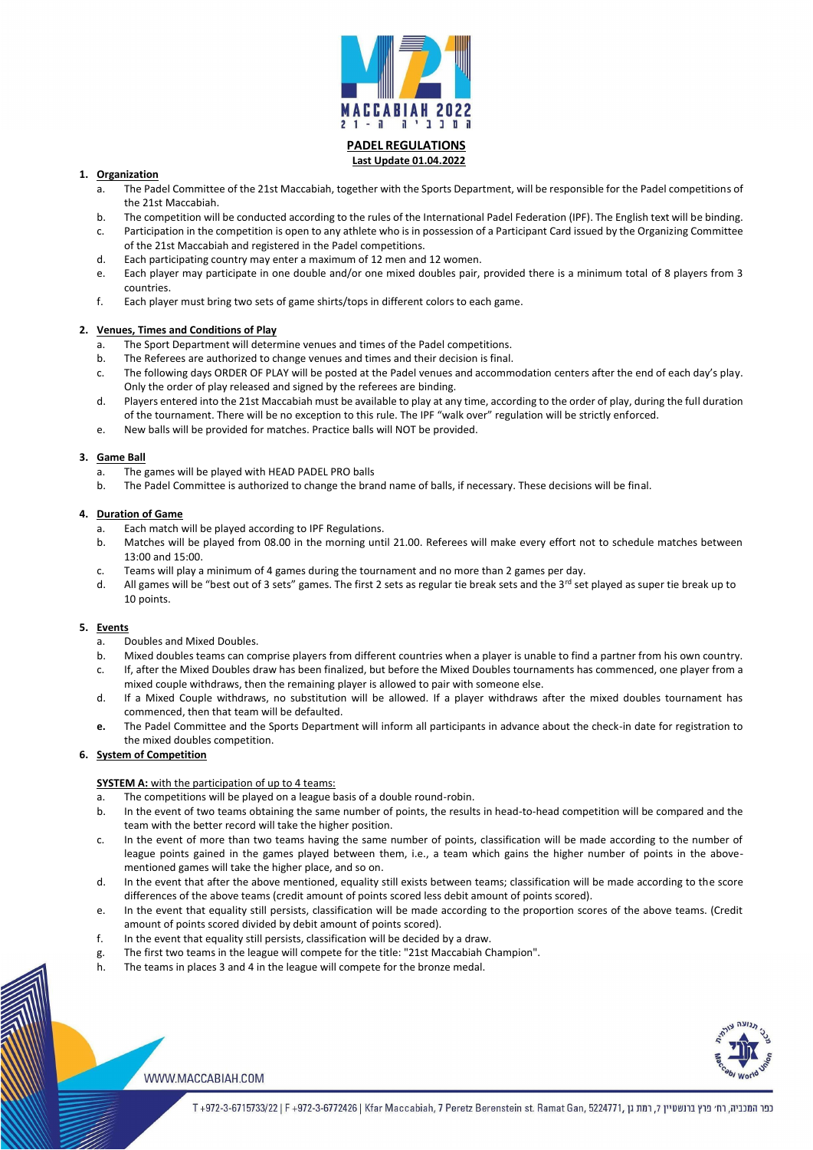

## **PADEL REGULATIONS Last Update 01.04.2022**

## **1. Organization**

- a. The Padel Committee of the 21st Maccabiah, together with the Sports Department, will be responsible for the Padel competitions of the 21st Maccabiah.
- b. The competition will be conducted according to the rules of the International Padel Federation (IPF). The English text will be binding.
- c. Participation in the competition is open to any athlete who is in possession of a Participant Card issued by the Organizing Committee of the 21st Maccabiah and registered in the Padel competitions.
- d. Each participating country may enter a maximum of 12 men and 12 women.
- e. Each player may participate in one double and/or one mixed doubles pair, provided there is a minimum total of 8 players from 3 countries.
- f. Each player must bring two sets of game shirts/tops in different colors to each game.

## **2. Venues, Times and Conditions of Play**

- a. The Sport Department will determine venues and times of the Padel competitions.
- b. The Referees are authorized to change venues and times and their decision is final.
- c. The following days ORDER OF PLAY will be posted at the Padel venues and accommodation centers after the end of each day's play. Only the order of play released and signed by the referees are binding.
- d. Players entered into the 21st Maccabiah must be available to play at any time, according to the order of play, during the full duration of the tournament. There will be no exception to this rule. The IPF "walk over" regulation will be strictly enforced.
- e. New balls will be provided for matches. Practice balls will NOT be provided.

## **3. Game Ball**

- a. The games will be played with HEAD PADEL PRO balls
- b. The Padel Committee is authorized to change the brand name of balls, if necessary. These decisions will be final.

# **4. Duration of Game**

- a. Each match will be played according to IPF Regulations.
- b. Matches will be played from 08.00 in the morning until 21.00. Referees will make every effort not to schedule matches between 13:00 and 15:00.
- c. Teams will play a minimum of 4 games during the tournament and no more than 2 games per day.
- d. All games will be "best out of 3 sets" games. The first 2 sets as regular tie break sets and the 3<sup>rd</sup> set played as super tie break up to 10 points.

## **5. Events**

- a. Doubles and Mixed Doubles.
- b. Mixed doubles teams can comprise players from different countries when a player is unable to find a partner from his own country.
- c. If, after the Mixed Doubles draw has been finalized, but before the Mixed Doubles tournaments has commenced, one player from a mixed couple withdraws, then the remaining player is allowed to pair with someone else.
- d. If a Mixed Couple withdraws, no substitution will be allowed. If a player withdraws after the mixed doubles tournament has commenced, then that team will be defaulted.
- **e.** The Padel Committee and the Sports Department will inform all participants in advance about the check-in date for registration to the mixed doubles competition.

# **6. System of Competition**

## **SYSTEM A:** with the participation of up to 4 teams:

- a. The competitions will be played on a league basis of a double round-robin.
- b. In the event of two teams obtaining the same number of points, the results in head-to-head competition will be compared and the team with the better record will take the higher position.
- c. In the event of more than two teams having the same number of points, classification will be made according to the number of league points gained in the games played between them, i.e., a team which gains the higher number of points in the abovementioned games will take the higher place, and so on.
- 
- d. In the event that after the above mentioned, equality still exists between teams; classification will be made according to the score differences of the above teams (credit amount of points scored less debit amount of points scored).
- e. In the event that equality still persists, classification will be made according to the proportion scores of the above teams. (Credit amount of points scored divided by debit amount of points scored).
- f. In the event that equality still persists, classification will be decided by a draw.
- g. The first two teams in the league will compete for the title: "21st Maccabiah Champion".
- h. The teams in places 3 and 4 in the league will compete for the bronze medal.



WWW.MACCABIAH.COM

כפר המכביה, רח׳ פרץ ברנשטיין 7, רמת גן ,972-3-6715733/22 | F +972-3-6772426 | Kfar Maccabiah, 7 Peretz Berenstein st. Ramat Gan, 5224771, רמת גן ה